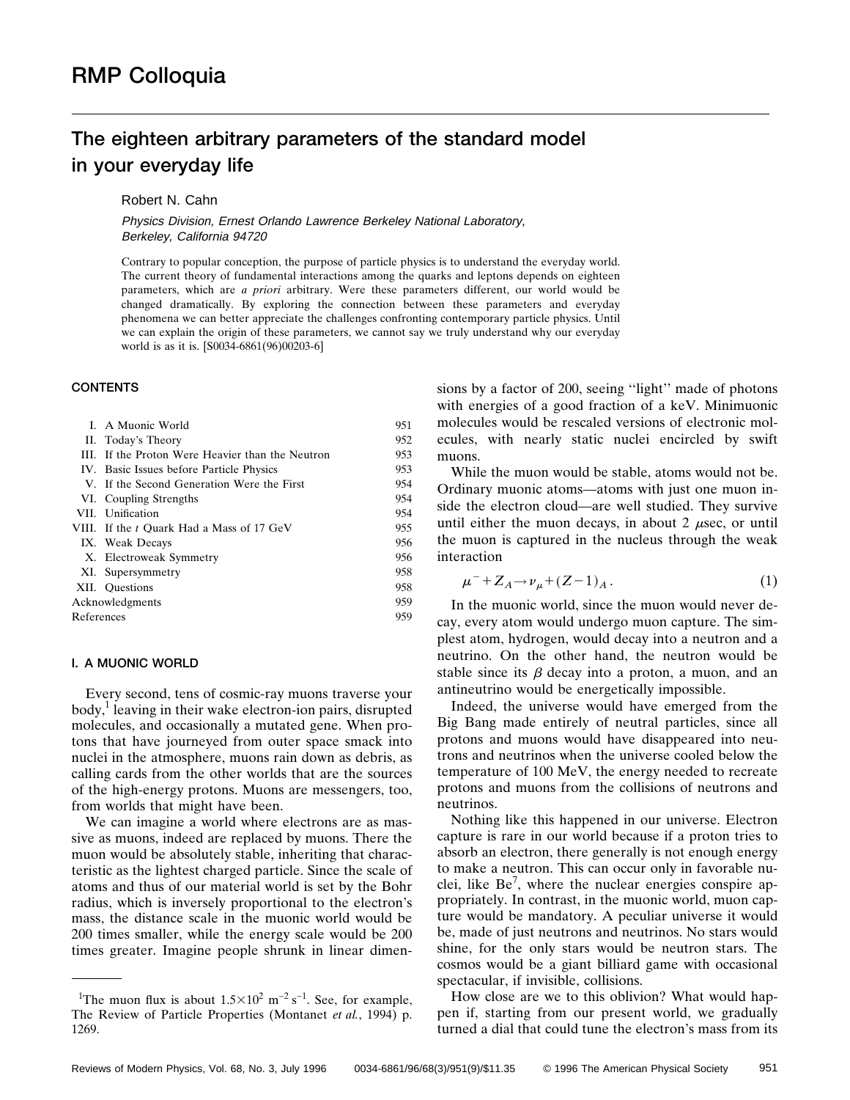# The eighteen arbitrary parameters of the standard model in your everyday life

## Robert N. Cahn

Physics Division, Ernest Orlando Lawrence Berkeley National Laboratory, Berkeley, California 94720

Contrary to popular conception, the purpose of particle physics is to understand the everyday world. The current theory of fundamental interactions among the quarks and leptons depends on eighteen parameters, which are *a priori* arbitrary. Were these parameters different, our world would be changed dramatically. By exploring the connection between these parameters and everyday phenomena we can better appreciate the challenges confronting contemporary particle physics. Until we can explain the origin of these parameters, we cannot say we truly understand why our everyday world is as it is. [S0034-6861(96)00203-6]

# **CONTENTS**

|                 | L. A Muonic World                                | 951 |
|-----------------|--------------------------------------------------|-----|
|                 | II. Today's Theory                               | 952 |
|                 | III. If the Proton Were Heavier than the Neutron | 953 |
|                 | IV. Basic Issues before Particle Physics         | 953 |
|                 | V. If the Second Generation Were the First       | 954 |
|                 | VI. Coupling Strengths                           | 954 |
|                 | VII. Unification                                 | 954 |
|                 | VIII. If the t Ouark Had a Mass of 17 GeV        | 955 |
|                 | IX. Weak Decays                                  | 956 |
|                 | X. Electroweak Symmetry                          | 956 |
|                 | XI. Supersymmetry                                | 958 |
|                 | XII. Ouestions                                   | 958 |
| Acknowledgments |                                                  |     |
| References      |                                                  |     |

#### I. A MUONIC WORLD

Every second, tens of cosmic-ray muons traverse your  $body,$ <sup>1</sup> leaving in their wake electron-ion pairs, disrupted molecules, and occasionally a mutated gene. When protons that have journeyed from outer space smack into nuclei in the atmosphere, muons rain down as debris, as calling cards from the other worlds that are the sources of the high-energy protons. Muons are messengers, too, from worlds that might have been.

We can imagine a world where electrons are as massive as muons, indeed are replaced by muons. There the muon would be absolutely stable, inheriting that characteristic as the lightest charged particle. Since the scale of atoms and thus of our material world is set by the Bohr radius, which is inversely proportional to the electron's mass, the distance scale in the muonic world would be 200 times smaller, while the energy scale would be 200 times greater. Imagine people shrunk in linear dimensions by a factor of 200, seeing ''light'' made of photons with energies of a good fraction of a keV. Minimuonic molecules would be rescaled versions of electronic molecules, with nearly static nuclei encircled by swift muons.

While the muon would be stable, atoms would not be. Ordinary muonic atoms—atoms with just one muon inside the electron cloud—are well studied. They survive until either the muon decays, in about 2  $\mu$ sec, or until the muon is captured in the nucleus through the weak interaction

$$
\mu^{-} + Z_A \to \nu_{\mu} + (Z - 1)_A. \tag{1}
$$

In the muonic world, since the muon would never decay, every atom would undergo muon capture. The simplest atom, hydrogen, would decay into a neutron and a neutrino. On the other hand, the neutron would be stable since its  $\beta$  decay into a proton, a muon, and an antineutrino would be energetically impossible.

Indeed, the universe would have emerged from the Big Bang made entirely of neutral particles, since all protons and muons would have disappeared into neutrons and neutrinos when the universe cooled below the temperature of 100 MeV, the energy needed to recreate protons and muons from the collisions of neutrons and neutrinos.

Nothing like this happened in our universe. Electron capture is rare in our world because if a proton tries to absorb an electron, there generally is not enough energy to make a neutron. This can occur only in favorable nuclei, like  $Be<sup>7</sup>$ , where the nuclear energies conspire appropriately. In contrast, in the muonic world, muon capture would be mandatory. A peculiar universe it would be, made of just neutrons and neutrinos. No stars would shine, for the only stars would be neutron stars. The cosmos would be a giant billiard game with occasional spectacular, if invisible, collisions.

How close are we to this oblivion? What would happen if, starting from our present world, we gradually turned a dial that could tune the electron's mass from its

<sup>&</sup>lt;sup>1</sup>The muon flux is about  $1.5 \times 10^2$  m<sup>-2</sup> s<sup>-1</sup>. See, for example, The Review of Particle Properties (Montanet *et al.*, 1994) p. 1269.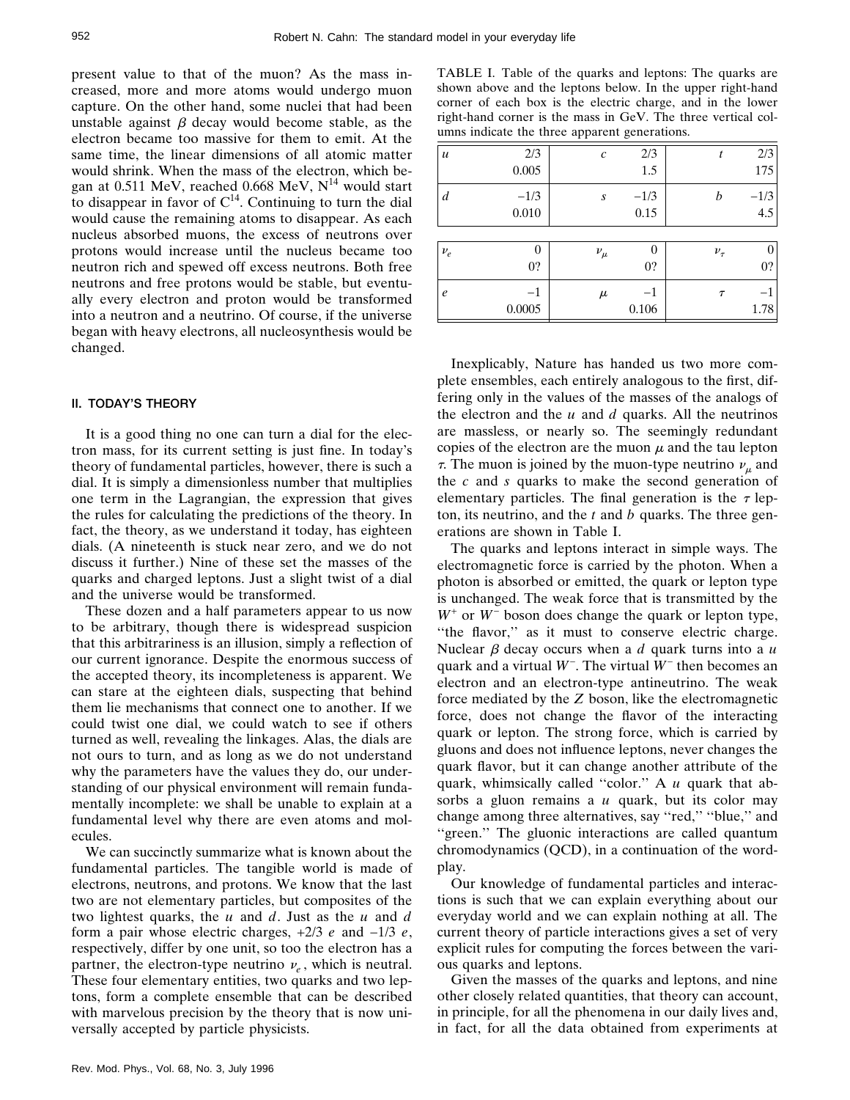present value to that of the muon? As the mass increased, more and more atoms would undergo muon capture. On the other hand, some nuclei that had been unstable against  $\beta$  decay would become stable, as the electron became too massive for them to emit. At the same time, the linear dimensions of all atomic matter would shrink. When the mass of the electron, which began at 0.511 MeV, reached 0.668 MeV,  $N^{14}$  would start to disappear in favor of  $C^{14}$ . Continuing to turn the dial would cause the remaining atoms to disappear. As each nucleus absorbed muons, the excess of neutrons over protons would increase until the nucleus became too neutron rich and spewed off excess neutrons. Both free neutrons and free protons would be stable, but eventually every electron and proton would be transformed into a neutron and a neutrino. Of course, if the universe began with heavy electrons, all nucleosynthesis would be changed.

#### II. TODAY'S THEORY

It is a good thing no one can turn a dial for the electron mass, for its current setting is just fine. In today's theory of fundamental particles, however, there is such a dial. It is simply a dimensionless number that multiplies one term in the Lagrangian, the expression that gives the rules for calculating the predictions of the theory. In fact, the theory, as we understand it today, has eighteen dials. (A nineteenth is stuck near zero, and we do not discuss it further.) Nine of these set the masses of the quarks and charged leptons. Just a slight twist of a dial and the universe would be transformed.

These dozen and a half parameters appear to us now to be arbitrary, though there is widespread suspicion that this arbitrariness is an illusion, simply a reflection of our current ignorance. Despite the enormous success of the accepted theory, its incompleteness is apparent. We can stare at the eighteen dials, suspecting that behind them lie mechanisms that connect one to another. If we could twist one dial, we could watch to see if others turned as well, revealing the linkages. Alas, the dials are not ours to turn, and as long as we do not understand why the parameters have the values they do, our understanding of our physical environment will remain fundamentally incomplete: we shall be unable to explain at a fundamental level why there are even atoms and molecules.

We can succinctly summarize what is known about the fundamental particles. The tangible world is made of electrons, neutrons, and protons. We know that the last two are not elementary particles, but composites of the two lightest quarks, the *u* and *d*. Just as the *u* and *d* form a pair whose electric charges, +2/3 *e* and −1/3 *e*, respectively, differ by one unit, so too the electron has a partner, the electron-type neutrino  $\nu_e$ , which is neutral. These four elementary entities, two quarks and two leptons, form a complete ensemble that can be described with marvelous precision by the theory that is now universally accepted by particle physicists.

TABLE I. Table of the quarks and leptons: The quarks are shown above and the leptons below. In the upper right-hand corner of each box is the electric charge, and in the lower right-hand corner is the mass in GeV. The three vertical columns indicate the three apparent generations.

| $\boldsymbol{u}$ | 2/3<br>0.005    | $\boldsymbol{c}$ | 2/3<br>1.5     | t          | 2/3<br>175    |
|------------------|-----------------|------------------|----------------|------------|---------------|
| $\boldsymbol{d}$ | $-1/3$<br>0.010 | S                | $-1/3$<br>0.15 | h          | $-1/3$<br>4.5 |
| $\nu_e$          | 0<br>0?         | $\nu_\mu$        | 0<br>0?        | $v_{\tau}$ | 0?            |
| $\boldsymbol{e}$ | $-1$<br>0.0005  | $\mu$            | $-1$<br>0.106  | $\tau$     | -1<br>1.78    |

Inexplicably, Nature has handed us two more complete ensembles, each entirely analogous to the first, differing only in the values of the masses of the analogs of the electron and the *u* and *d* quarks. All the neutrinos are massless, or nearly so. The seemingly redundant copies of the electron are the muon  $\mu$  and the tau lepton  $\tau$ . The muon is joined by the muon-type neutrino  $\nu_{\mu}$  and the *c* and *s* quarks to make the second generation of elementary particles. The final generation is the  $\tau$  lepton, its neutrino, and the *t* and *b* quarks. The three generations are shown in Table I.

The quarks and leptons interact in simple ways. The electromagnetic force is carried by the photon. When a photon is absorbed or emitted, the quark or lepton type is unchanged. The weak force that is transmitted by the *W*<sup>+</sup> or *W*<sup>−</sup> boson does change the quark or lepton type, ''the flavor,'' as it must to conserve electric charge. Nuclear  $\beta$  decay occurs when a *d* quark turns into a *u* quark and a virtual *W*<sup>−</sup> . The virtual *W*<sup>−</sup> then becomes an electron and an electron-type antineutrino. The weak force mediated by the *Z* boson, like the electromagnetic force, does not change the flavor of the interacting quark or lepton. The strong force, which is carried by gluons and does not influence leptons, never changes the quark flavor, but it can change another attribute of the quark, whimsically called ''color.'' A *u* quark that absorbs a gluon remains a *u* quark, but its color may change among three alternatives, say ''red,'' ''blue,'' and "green." The gluonic interactions are called quantum chromodynamics (QCD), in a continuation of the wordplay.

Our knowledge of fundamental particles and interactions is such that we can explain everything about our everyday world and we can explain nothing at all. The current theory of particle interactions gives a set of very explicit rules for computing the forces between the various quarks and leptons.

Given the masses of the quarks and leptons, and nine other closely related quantities, that theory can account, in principle, for all the phenomena in our daily lives and, in fact, for all the data obtained from experiments at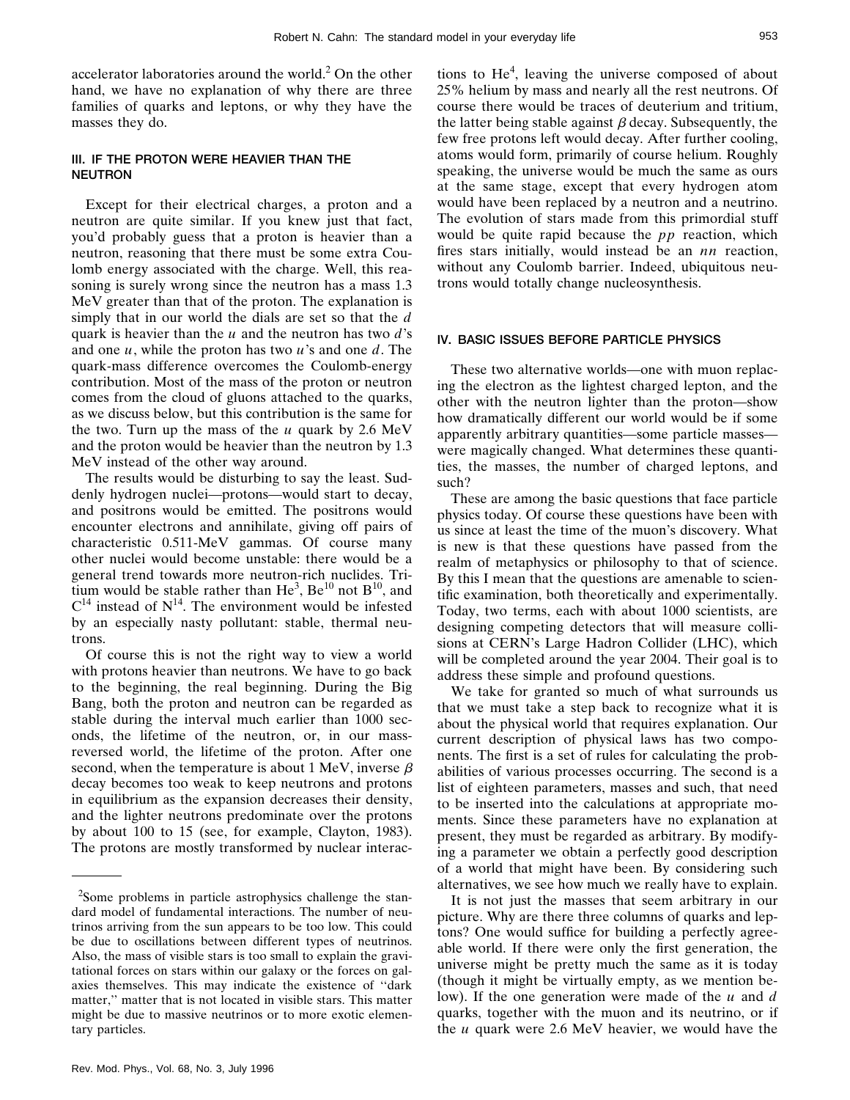accelerator laboratories around the world. $<sup>2</sup>$  On the other</sup> hand, we have no explanation of why there are three families of quarks and leptons, or why they have the masses they do.

# III. IF THE PROTON WERE HEAVIER THAN THE NEUTRON

Except for their electrical charges, a proton and a neutron are quite similar. If you knew just that fact, you'd probably guess that a proton is heavier than a neutron, reasoning that there must be some extra Coulomb energy associated with the charge. Well, this reasoning is surely wrong since the neutron has a mass 1.3 MeV greater than that of the proton. The explanation is simply that in our world the dials are set so that the *d* quark is heavier than the *u* and the neutron has two *d*'s and one *u*, while the proton has two *u*'s and one *d*. The quark-mass difference overcomes the Coulomb-energy contribution. Most of the mass of the proton or neutron comes from the cloud of gluons attached to the quarks, as we discuss below, but this contribution is the same for the two. Turn up the mass of the *u* quark by 2.6 MeV and the proton would be heavier than the neutron by 1.3 MeV instead of the other way around.

The results would be disturbing to say the least. Suddenly hydrogen nuclei—protons—would start to decay, and positrons would be emitted. The positrons would encounter electrons and annihilate, giving off pairs of characteristic 0.511-MeV gammas. Of course many other nuclei would become unstable: there would be a general trend towards more neutron-rich nuclides. Tritium would be stable rather than  $He^3$ ,  $Be^{10}$  not  $B^{10}$ , and  $C^{14}$  instead of  $N^{14}$ . The environment would be infested by an especially nasty pollutant: stable, thermal neutrons.

Of course this is not the right way to view a world with protons heavier than neutrons. We have to go back to the beginning, the real beginning. During the Big Bang, both the proton and neutron can be regarded as stable during the interval much earlier than 1000 seconds, the lifetime of the neutron, or, in our massreversed world, the lifetime of the proton. After one second, when the temperature is about 1 MeV, inverse  $\beta$ decay becomes too weak to keep neutrons and protons in equilibrium as the expansion decreases their density, and the lighter neutrons predominate over the protons by about 100 to 15 (see, for example, Clayton, 1983). The protons are mostly transformed by nuclear interac-

tions to  $He<sup>4</sup>$ , leaving the universe composed of about 25% helium by mass and nearly all the rest neutrons. Of course there would be traces of deuterium and tritium, the latter being stable against  $\beta$  decay. Subsequently, the few free protons left would decay. After further cooling, atoms would form, primarily of course helium. Roughly speaking, the universe would be much the same as ours at the same stage, except that every hydrogen atom would have been replaced by a neutron and a neutrino. The evolution of stars made from this primordial stuff would be quite rapid because the *pp* reaction, which fires stars initially, would instead be an *nn* reaction, without any Coulomb barrier. Indeed, ubiquitous neutrons would totally change nucleosynthesis.

#### IV. BASIC ISSUES BEFORE PARTICLE PHYSICS

These two alternative worlds—one with muon replacing the electron as the lightest charged lepton, and the other with the neutron lighter than the proton—show how dramatically different our world would be if some apparently arbitrary quantities—some particle masses were magically changed. What determines these quantities, the masses, the number of charged leptons, and such?

These are among the basic questions that face particle physics today. Of course these questions have been with us since at least the time of the muon's discovery. What is new is that these questions have passed from the realm of metaphysics or philosophy to that of science. By this I mean that the questions are amenable to scientific examination, both theoretically and experimentally. Today, two terms, each with about 1000 scientists, are designing competing detectors that will measure collisions at CERN's Large Hadron Collider (LHC), which will be completed around the year 2004. Their goal is to address these simple and profound questions.

We take for granted so much of what surrounds us that we must take a step back to recognize what it is about the physical world that requires explanation. Our current description of physical laws has two components. The first is a set of rules for calculating the probabilities of various processes occurring. The second is a list of eighteen parameters, masses and such, that need to be inserted into the calculations at appropriate moments. Since these parameters have no explanation at present, they must be regarded as arbitrary. By modifying a parameter we obtain a perfectly good description of a world that might have been. By considering such alternatives, we see how much we really have to explain.

It is not just the masses that seem arbitrary in our picture. Why are there three columns of quarks and leptons? One would suffice for building a perfectly agreeable world. If there were only the first generation, the universe might be pretty much the same as it is today (though it might be virtually empty, as we mention below). If the one generation were made of the *u* and *d* quarks, together with the muon and its neutrino, or if the *u* quark were 2.6 MeV heavier, we would have the

<sup>&</sup>lt;sup>2</sup>Some problems in particle astrophysics challenge the standard model of fundamental interactions. The number of neutrinos arriving from the sun appears to be too low. This could be due to oscillations between different types of neutrinos. Also, the mass of visible stars is too small to explain the gravitational forces on stars within our galaxy or the forces on galaxies themselves. This may indicate the existence of ''dark matter,'' matter that is not located in visible stars. This matter might be due to massive neutrinos or to more exotic elementary particles.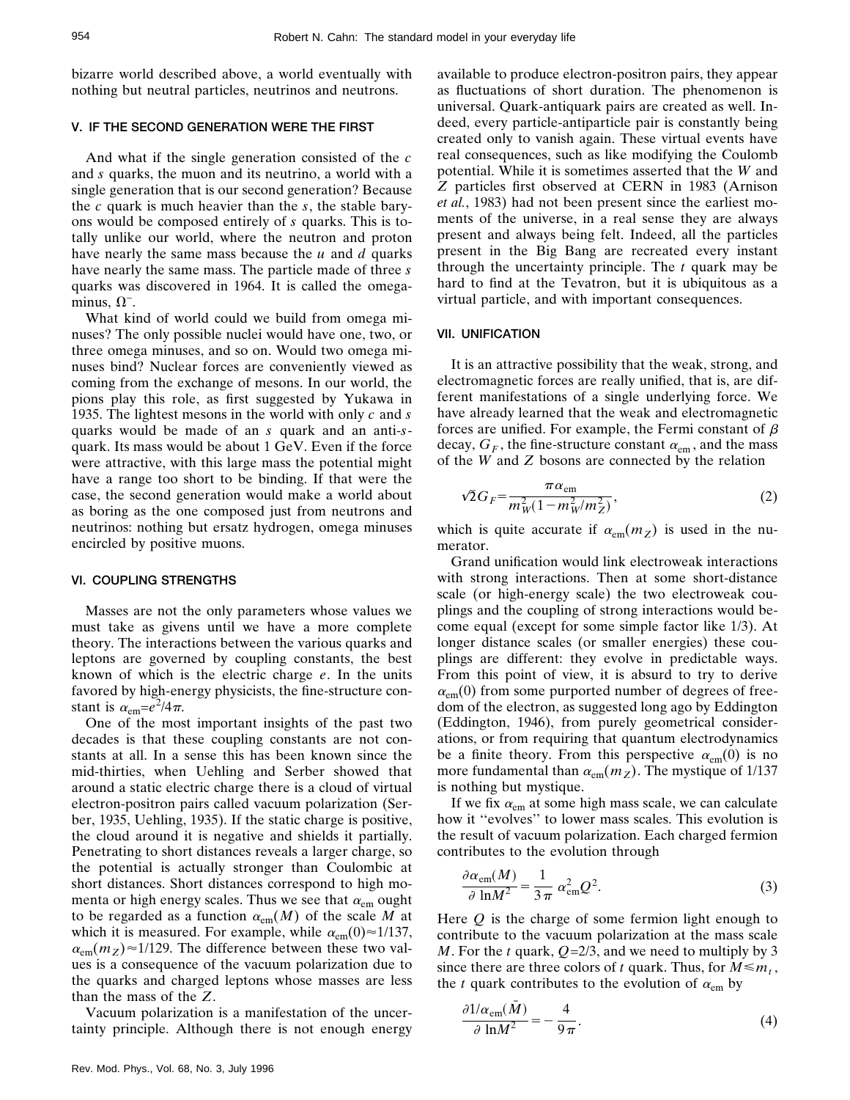bizarre world described above, a world eventually with nothing but neutral particles, neutrinos and neutrons.

#### V. IF THE SECOND GENERATION WERE THE FIRST

And what if the single generation consisted of the *c* and *s* quarks, the muon and its neutrino, a world with a single generation that is our second generation? Because the *c* quark is much heavier than the *s*, the stable baryons would be composed entirely of *s* quarks. This is totally unlike our world, where the neutron and proton have nearly the same mass because the *u* and *d* quarks have nearly the same mass. The particle made of three *s* quarks was discovered in 1964. It is called the omega- $\overline{\text{minus}}, \Omega^{-}$ .

What kind of world could we build from omega minuses? The only possible nuclei would have one, two, or three omega minuses, and so on. Would two omega minuses bind? Nuclear forces are conveniently viewed as coming from the exchange of mesons. In our world, the pions play this role, as first suggested by Yukawa in 1935. The lightest mesons in the world with only *c* and *s* quarks would be made of an *s* quark and an anti-*s*quark. Its mass would be about 1 GeV. Even if the force were attractive, with this large mass the potential might have a range too short to be binding. If that were the case, the second generation would make a world about as boring as the one composed just from neutrons and neutrinos: nothing but ersatz hydrogen, omega minuses encircled by positive muons.

## VI. COUPLING STRENGTHS

Masses are not the only parameters whose values we must take as givens until we have a more complete theory. The interactions between the various quarks and leptons are governed by coupling constants, the best known of which is the electric charge *e*. In the units favored by high-energy physicists, the fine-structure constant is  $\alpha_{em} = e^2/4\pi$ .

One of the most important insights of the past two decades is that these coupling constants are not constants at all. In a sense this has been known since the mid-thirties, when Uehling and Serber showed that around a static electric charge there is a cloud of virtual electron-positron pairs called vacuum polarization (Serber, 1935, Uehling, 1935). If the static charge is positive, the cloud around it is negative and shields it partially. Penetrating to short distances reveals a larger charge, so the potential is actually stronger than Coulombic at short distances. Short distances correspond to high momenta or high energy scales. Thus we see that  $\alpha_{em}$  ought to be regarded as a function  $\alpha_{em}(M)$  of the scale M at which it is measured. For example, while  $\alpha_{em}(0) \approx 1/137$ ,  $\alpha_{em}(m_Z) \approx 1/129$ . The difference between these two values is a consequence of the vacuum polarization due to the quarks and charged leptons whose masses are less than the mass of the *Z*.

Vacuum polarization is a manifestation of the uncertainty principle. Although there is not enough energy available to produce electron-positron pairs, they appear as fluctuations of short duration. The phenomenon is universal. Quark-antiquark pairs are created as well. Indeed, every particle-antiparticle pair is constantly being created only to vanish again. These virtual events have real consequences, such as like modifying the Coulomb potential. While it is sometimes asserted that the *W* and *Z* particles first observed at CERN in 1983 (Arnison *et al.*, 1983) had not been present since the earliest moments of the universe, in a real sense they are always present and always being felt. Indeed, all the particles present in the Big Bang are recreated every instant through the uncertainty principle. The *t* quark may be hard to find at the Tevatron, but it is ubiquitous as a virtual particle, and with important consequences.

#### VII. UNIFICATION

It is an attractive possibility that the weak, strong, and electromagnetic forces are really unified, that is, are different manifestations of a single underlying force. We have already learned that the weak and electromagnetic forces are unified. For example, the Fermi constant of  $\beta$ decay,  $G_F$ , the fine-structure constant  $\alpha_{em}$ , and the mass of the *W* and *Z* bosons are connected by the relation

$$
\sqrt{2}G_F = \frac{\pi \alpha_{\rm em}}{m_W^2 (1 - m_W^2/m_Z^2)},\tag{2}
$$

which is quite accurate if  $\alpha_{em}(m_Z)$  is used in the numerator.

Grand unification would link electroweak interactions with strong interactions. Then at some short-distance scale (or high-energy scale) the two electroweak couplings and the coupling of strong interactions would become equal (except for some simple factor like 1/3). At longer distance scales (or smaller energies) these couplings are different: they evolve in predictable ways. From this point of view, it is absurd to try to derive  $\alpha_{em}(0)$  from some purported number of degrees of freedom of the electron, as suggested long ago by Eddington (Eddington, 1946), from purely geometrical considerations, or from requiring that quantum electrodynamics be a finite theory. From this perspective  $\alpha_{em}(0)$  is no more fundamental than  $\alpha_{em}(m_Z)$ . The mystique of 1/137 is nothing but mystique.

If we fix  $\alpha_{em}$  at some high mass scale, we can calculate how it "evolves" to lower mass scales. This evolution is the result of vacuum polarization. Each charged fermion contributes to the evolution through

$$
\frac{\partial \alpha_{\rm em}(M)}{\partial \ln M^2} = \frac{1}{3\pi} \alpha_{\rm em}^2 Q^2.
$$
 (3)

Here *Q* is the charge of some fermion light enough to contribute to the vacuum polarization at the mass scale *M*. For the *t* quark, *Q*=2/3, and we need to multiply by 3 since there are three colors of *t* quark. Thus, for  $M \le m_t$ , the *t* quark contributes to the evolution of  $\alpha_{em}$  by

$$
\frac{\partial 1/\alpha_{\rm em}(\bar{M})}{\partial \ln \! M^2} = -\frac{4}{9\pi}.\tag{4}
$$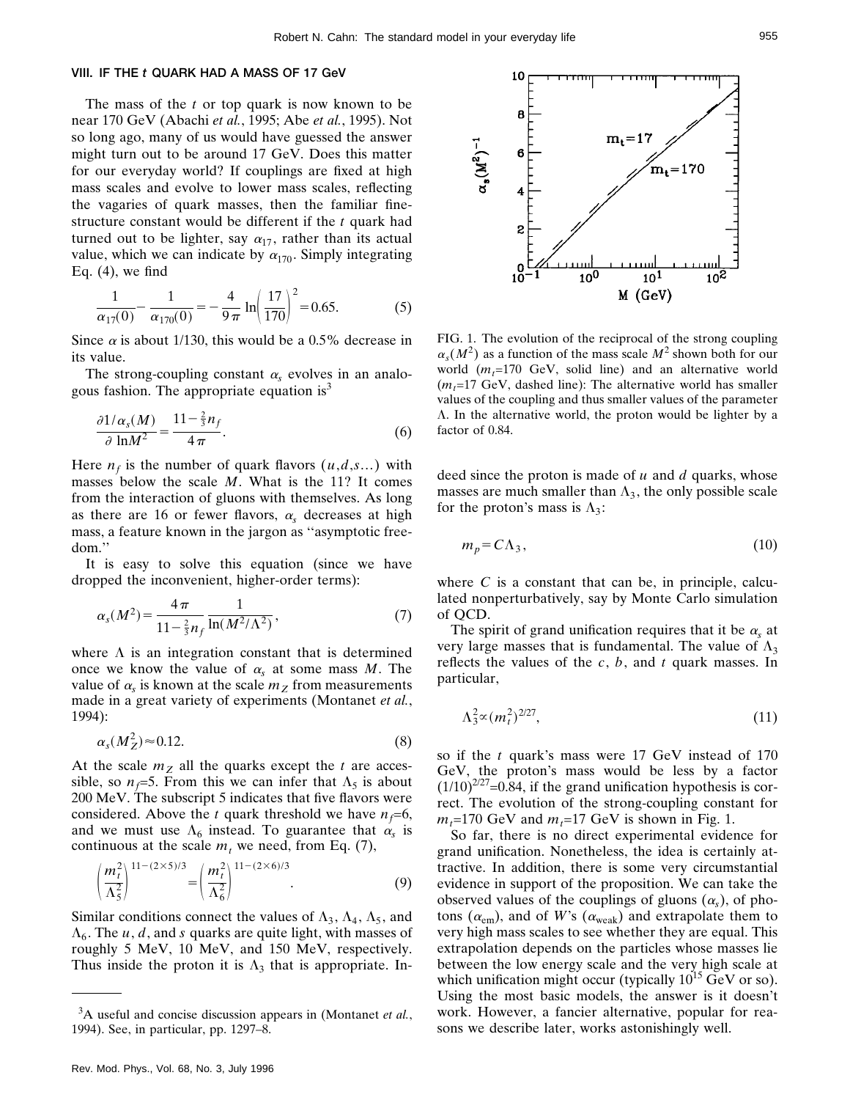#### VIII. IF THE *t* QUARK HAD A MASS OF 17 GeV

The mass of the *t* or top quark is now known to be near 170 GeV (Abachi *et al.*, 1995; Abe *et al.*, 1995). Not so long ago, many of us would have guessed the answer might turn out to be around 17 GeV. Does this matter for our everyday world? If couplings are fixed at high mass scales and evolve to lower mass scales, reflecting the vagaries of quark masses, then the familiar finestructure constant would be different if the *t* quark had turned out to be lighter, say  $\alpha_{17}$ , rather than its actual value, which we can indicate by  $\alpha_{170}$ . Simply integrating Eq.  $(4)$ , we find

$$
\frac{1}{\alpha_{17}(0)} - \frac{1}{\alpha_{170}(0)} = -\frac{4}{9\pi} \ln \left( \frac{17}{170} \right)^2 = 0.65. \tag{5}
$$

Since  $\alpha$  is about 1/130, this would be a 0.5% decrease in its value.

The strong-coupling constant  $\alpha_s$  evolves in an analogous fashion. The appropriate equation is<sup>3</sup>

$$
\frac{\partial 1/\alpha_s(M)}{\partial \ln M^2} = \frac{11 - \frac{2}{3}n_f}{4\pi}.
$$
\n(6)

Here  $n_f$  is the number of quark flavors  $(u,d,s...)$  with masses below the scale *M*. What is the 11? It comes from the interaction of gluons with themselves. As long as there are 16 or fewer flavors,  $\alpha_s$  decreases at high mass, a feature known in the jargon as ''asymptotic freedom.''

It is easy to solve this equation (since we have dropped the inconvenient, higher-order terms):

$$
\alpha_s(M^2) = \frac{4\,\pi}{11 - \frac{2}{3}n_f} \frac{1}{\ln(M^2/\Lambda^2)},\tag{7}
$$

where  $\Lambda$  is an integration constant that is determined once we know the value of  $\alpha_s$  at some mass M. The value of  $\alpha_s$  is known at the scale  $m_Z$  from measurements made in a great variety of experiments (Montanet *et al.*, 1994):

$$
\alpha_s(M_Z^2) \approx 0.12. \tag{8}
$$

At the scale  $m_Z$  all the quarks except the *t* are accessible, so  $n_f=5$ . From this we can infer that  $\Lambda_5$  is about 200 MeV. The subscript 5 indicates that five flavors were considered. Above the *t* quark threshold we have  $n_f=6$ , and we must use  $\Lambda_6$  instead. To guarantee that  $\alpha_s$  is continuous at the scale  $m_t$  we need, from Eq. (7),

$$
\left(\frac{m_t^2}{\Lambda_5^2}\right)^{11-(2\times5)/3} = \left(\frac{m_t^2}{\Lambda_6^2}\right)^{11-(2\times6)/3}.\tag{9}
$$

Similar conditions connect the values of  $\Lambda_3$ ,  $\Lambda_4$ ,  $\Lambda_5$ , and  $\Lambda_6$ . The *u*, *d*, and *s* quarks are quite light, with masses of roughly 5 MeV, 10 MeV, and 150 MeV, respectively. Thus inside the proton it is  $\Lambda_3$  that is appropriate. In-



FIG. 1. The evolution of the reciprocal of the strong coupling  $\alpha_s(M^2)$  as a function of the mass scale  $M^2$  shown both for our world  $(m_t=170 \text{ GeV})$ , solid line) and an alternative world  $(m<sub>t</sub>=17 \text{ GeV})$ , dashed line): The alternative world has smaller values of the coupling and thus smaller values of the parameter  $\Lambda$ . In the alternative world, the proton would be lighter by a factor of 0.84.

deed since the proton is made of *u* and *d* quarks, whose masses are much smaller than  $\Lambda_3$ , the only possible scale for the proton's mass is  $\Lambda_3$ :

$$
m_p = C\Lambda_3,\tag{10}
$$

where *C* is a constant that can be, in principle, calculated nonperturbatively, say by Monte Carlo simulation of QCD.

The spirit of grand unification requires that it be  $\alpha_s$  at very large masses that is fundamental. The value of  $\Lambda_3$ reflects the values of the *c*, *b*, and *t* quark masses. In particular,

$$
\Lambda_3^2 \propto (m_t^2)^{2/27},\tag{11}
$$

so if the *t* quark's mass were 17 GeV instead of 170 GeV, the proton's mass would be less by a factor  $(1/10)^{2/27}$ =0.84, if the grand unification hypothesis is correct. The evolution of the strong-coupling constant for  $m_t$ =170 GeV and  $m_t$ =17 GeV is shown in Fig. 1.

So far, there is no direct experimental evidence for grand unification. Nonetheless, the idea is certainly attractive. In addition, there is some very circumstantial evidence in support of the proposition. We can take the observed values of the couplings of gluons  $(\alpha_s)$ , of photons ( $\alpha_{em}$ ), and of *W*'s ( $\alpha_{weak}$ ) and extrapolate them to very high mass scales to see whether they are equal. This extrapolation depends on the particles whose masses lie between the low energy scale and the very high scale at which unification might occur (typically  $10^{15}$  GeV or so). Using the most basic models, the answer is it doesn't work. However, a fancier alternative, popular for reasons we describe later, works astonishingly well.

<sup>3</sup> A useful and concise discussion appears in (Montanet *et al.*, 1994). See, in particular, pp. 1297–8.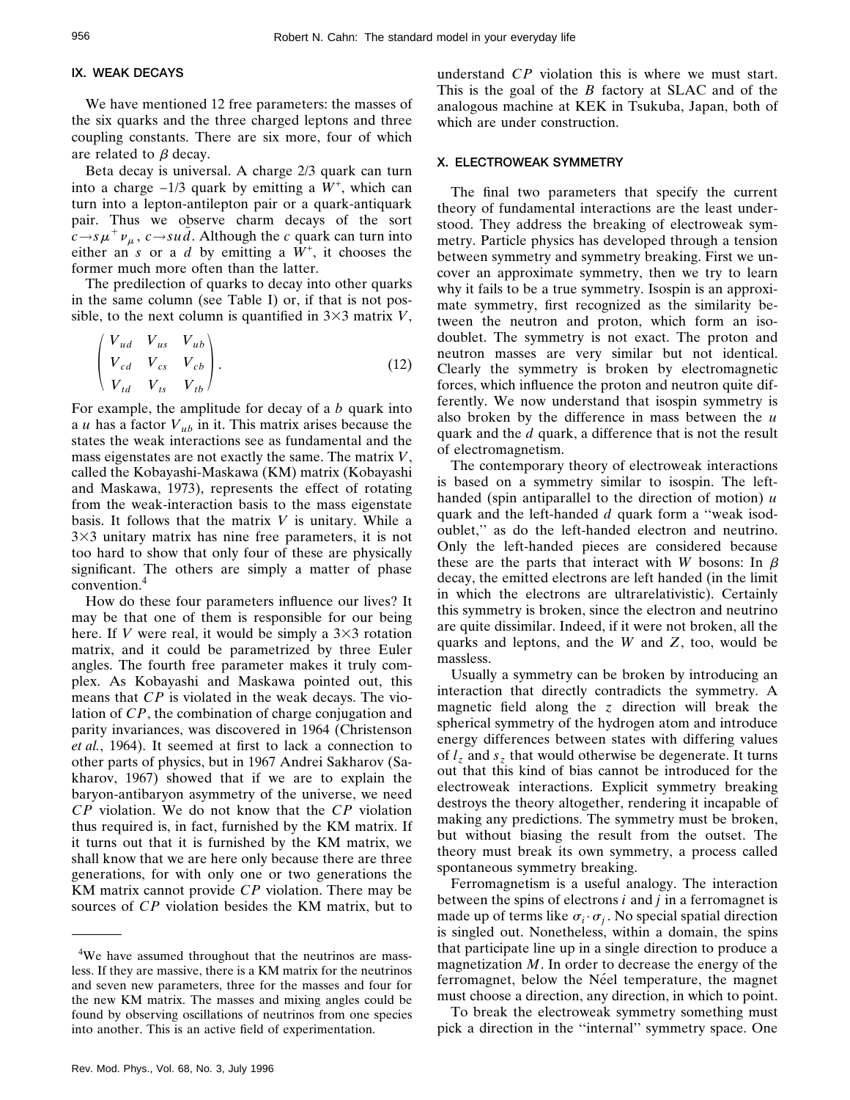#### IX. WEAK DECAYS

We have mentioned 12 free parameters: the masses of the six quarks and the three charged leptons and three coupling constants. There are six more, four of which are related to  $\beta$  decay.

Beta decay is universal. A charge 2/3 quark can turn into a charge  $-1/3$  quark by emitting a  $W^+$ , which can turn into a lepton-antilepton pair or a quark-antiquark pair. Thus we observe charm decays of the sort  $c \rightarrow s \mu^+ \nu_\mu$ ,  $c \rightarrow s \nu d$ . Although the *c* quark can turn into either an *s* or a *d* by emitting a  $W^+$ , it chooses the former much more often than the latter.

The predilection of quarks to decay into other quarks in the same column (see Table I) or, if that is not possible, to the next column is quantified in  $3\times3$  matrix *V*,

$$
\begin{pmatrix}\nV_{ud} & V_{us} & V_{ub} \\
V_{cd} & V_{cs} & V_{cb} \\
V_{td} & V_{ts} & V_{tb}\n\end{pmatrix}.
$$
\n(12)

For example, the amplitude for decay of a *b* quark into a  $u$  has a factor  $V_{ub}$  in it. This matrix arises because the states the weak interactions see as fundamental and the mass eigenstates are not exactly the same. The matrix *V*, called the Kobayashi-Maskawa (KM) matrix (Kobayashi and Maskawa, 1973), represents the effect of rotating from the weak-interaction basis to the mass eigenstate basis. It follows that the matrix *V* is unitary. While a  $3\times3$  unitary matrix has nine free parameters, it is not too hard to show that only four of these are physically significant. The others are simply a matter of phase convention.<sup>4</sup>

How do these four parameters influence our lives? It may be that one of them is responsible for our being here. If *V* were real, it would be simply a  $3\times3$  rotation matrix, and it could be parametrized by three Euler angles. The fourth free parameter makes it truly complex. As Kobayashi and Maskawa pointed out, this means that *CP* is violated in the weak decays. The violation of *CP*, the combination of charge conjugation and parity invariances, was discovered in 1964 (Christenson *et al.*, 1964). It seemed at first to lack a connection to other parts of physics, but in 1967 Andrei Sakharov (Sakharov, 1967) showed that if we are to explain the baryon-antibaryon asymmetry of the universe, we need *CP* violation. We do not know that the *CP* violation thus required is, in fact, furnished by the KM matrix. If it turns out that it is furnished by the KM matrix, we shall know that we are here only because there are three generations, for with only one or two generations the KM matrix cannot provide *CP* violation. There may be sources of *CP* violation besides the KM matrix, but to understand *CP* violation this is where we must start. This is the goal of the *B* factory at SLAC and of the analogous machine at KEK in Tsukuba, Japan, both of which are under construction.

#### X. ELECTROWEAK SYMMETRY

The final two parameters that specify the current theory of fundamental interactions are the least understood. They address the breaking of electroweak symmetry. Particle physics has developed through a tension between symmetry and symmetry breaking. First we uncover an approximate symmetry, then we try to learn why it fails to be a true symmetry. Isospin is an approximate symmetry, first recognized as the similarity between the neutron and proton, which form an isodoublet. The symmetry is not exact. The proton and neutron masses are very similar but not identical. Clearly the symmetry is broken by electromagnetic forces, which influence the proton and neutron quite differently. We now understand that isospin symmetry is also broken by the difference in mass between the *u* quark and the *d* quark, a difference that is not the result of electromagnetism.

The contemporary theory of electroweak interactions is based on a symmetry similar to isospin. The lefthanded (spin antiparallel to the direction of motion) *u* quark and the left-handed *d* quark form a ''weak isodoublet,'' as do the left-handed electron and neutrino. Only the left-handed pieces are considered because these are the parts that interact with *W* bosons: In  $\beta$ decay, the emitted electrons are left handed (in the limit in which the electrons are ultrarelativistic). Certainly this symmetry is broken, since the electron and neutrino are quite dissimilar. Indeed, if it were not broken, all the quarks and leptons, and the *W* and *Z*, too, would be massless.

Usually a symmetry can be broken by introducing an interaction that directly contradicts the symmetry. A magnetic field along the *z* direction will break the spherical symmetry of the hydrogen atom and introduce energy differences between states with differing values of  $l_z$  and  $s_z$  that would otherwise be degenerate. It turns out that this kind of bias cannot be introduced for the electroweak interactions. Explicit symmetry breaking destroys the theory altogether, rendering it incapable of making any predictions. The symmetry must be broken, but without biasing the result from the outset. The theory must break its own symmetry, a process called spontaneous symmetry breaking.

Ferromagnetism is a useful analogy. The interaction between the spins of electrons *i* and *j* in a ferromagnet is made up of terms like  $\sigma_i \cdot \sigma_j$ . No special spatial direction is singled out. Nonetheless, within a domain, the spins that participate line up in a single direction to produce a magnetization *M*. In order to decrease the energy of the ferromagnet, below the Néel temperature, the magnet must choose a direction, any direction, in which to point.

To break the electroweak symmetry something must pick a direction in the ''internal'' symmetry space. One

<sup>&</sup>lt;sup>4</sup>We have assumed throughout that the neutrinos are massless. If they are massive, there is a KM matrix for the neutrinos and seven new parameters, three for the masses and four for the new KM matrix. The masses and mixing angles could be found by observing oscillations of neutrinos from one species into another. This is an active field of experimentation.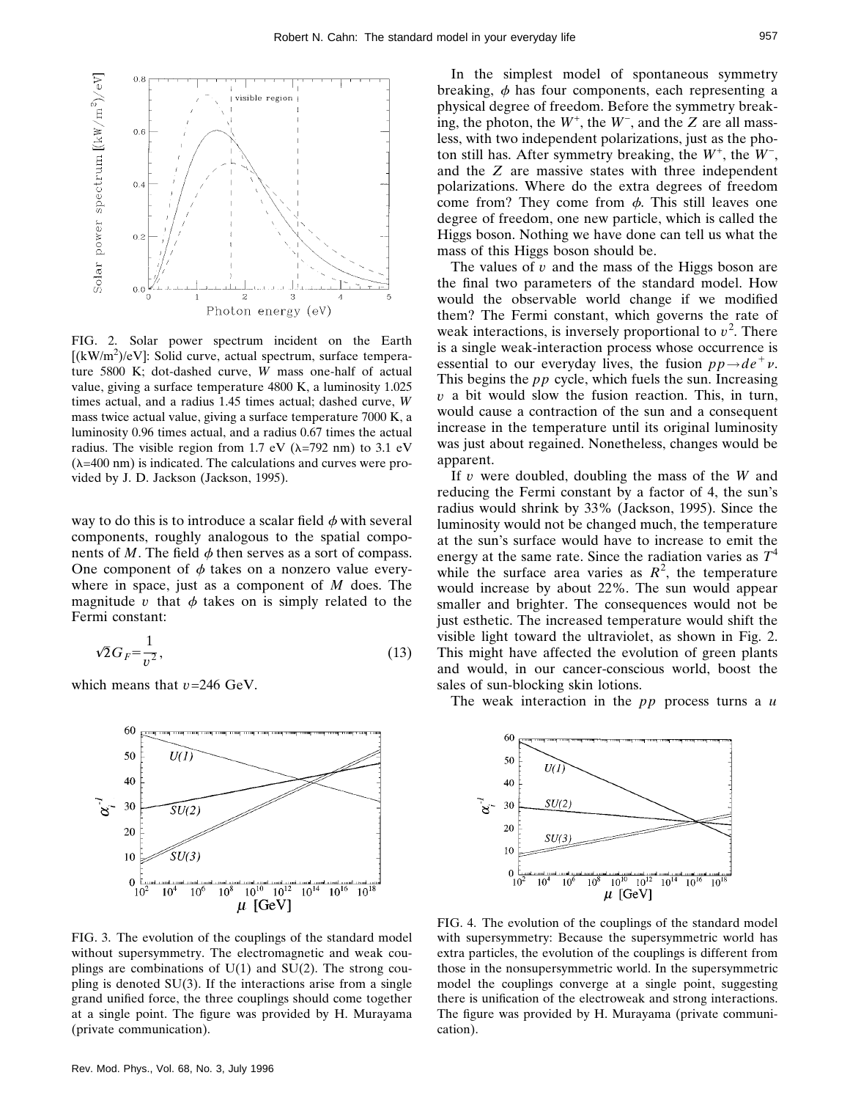

FIG. 2. Solar power spectrum incident on the Earth  $[(kW/m<sup>2</sup>)/eV]$ : Solid curve, actual spectrum, surface temperature 5800 K; dot-dashed curve, *W* mass one-half of actual value, giving a surface temperature 4800 K, a luminosity 1.025 times actual, and a radius 1.45 times actual; dashed curve, *W* mass twice actual value, giving a surface temperature 7000 K, a luminosity 0.96 times actual, and a radius 0.67 times the actual radius. The visible region from 1.7 eV ( $\lambda$ =792 nm) to 3.1 eV  $(\lambda=400 \text{ nm})$  is indicated. The calculations and curves were provided by J. D. Jackson (Jackson, 1995).

way to do this is to introduce a scalar field  $\phi$  with several components, roughly analogous to the spatial components of M. The field  $\phi$  then serves as a sort of compass. One component of  $\phi$  takes on a nonzero value everywhere in space, just as a component of *M* does. The magnitude  $\nu$  that  $\phi$  takes on is simply related to the Fermi constant:

$$
\sqrt{2}G_F = \frac{1}{v^2},\tag{13}
$$

which means that  $v=246$  GeV.



FIG. 3. The evolution of the couplings of the standard model without supersymmetry. The electromagnetic and weak couplings are combinations of  $U(1)$  and  $SU(2)$ . The strong coupling is denoted SU(3). If the interactions arise from a single grand unified force, the three couplings should come together at a single point. The figure was provided by H. Murayama (private communication).

In the simplest model of spontaneous symmetry breaking,  $\phi$  has four components, each representing a physical degree of freedom. Before the symmetry breaking, the photon, the  $W^+$ , the  $W^-$ , and the  $Z$  are all massless, with two independent polarizations, just as the photon still has. After symmetry breaking, the  $W^+$ , the  $W^-$ , and the *Z* are massive states with three independent polarizations. Where do the extra degrees of freedom come from? They come from  $\phi$ . This still leaves one degree of freedom, one new particle, which is called the Higgs boson. Nothing we have done can tell us what the mass of this Higgs boson should be.

The values of *v* and the mass of the Higgs boson are the final two parameters of the standard model. How would the observable world change if we modified them? The Fermi constant, which governs the rate of weak interactions, is inversely proportional to  $v^2$ . There is a single weak-interaction process whose occurrence is essential to our everyday lives, the fusion  $pp \rightarrow de^+ \nu$ . This begins the *pp* cycle, which fuels the sun. Increasing *v* a bit would slow the fusion reaction. This, in turn, would cause a contraction of the sun and a consequent increase in the temperature until its original luminosity was just about regained. Nonetheless, changes would be apparent.

If *v* were doubled, doubling the mass of the *W* and reducing the Fermi constant by a factor of 4, the sun's radius would shrink by 33% (Jackson, 1995). Since the luminosity would not be changed much, the temperature at the sun's surface would have to increase to emit the energy at the same rate. Since the radiation varies as  $T^4$ while the surface area varies as  $R^2$ , the temperature would increase by about 22%. The sun would appear smaller and brighter. The consequences would not be just esthetic. The increased temperature would shift the visible light toward the ultraviolet, as shown in Fig. 2. This might have affected the evolution of green plants and would, in our cancer-conscious world, boost the sales of sun-blocking skin lotions.

The weak interaction in the *pp* process turns a *u*



FIG. 4. The evolution of the couplings of the standard model with supersymmetry: Because the supersymmetric world has extra particles, the evolution of the couplings is different from those in the nonsupersymmetric world. In the supersymmetric model the couplings converge at a single point, suggesting there is unification of the electroweak and strong interactions. The figure was provided by H. Murayama (private communication).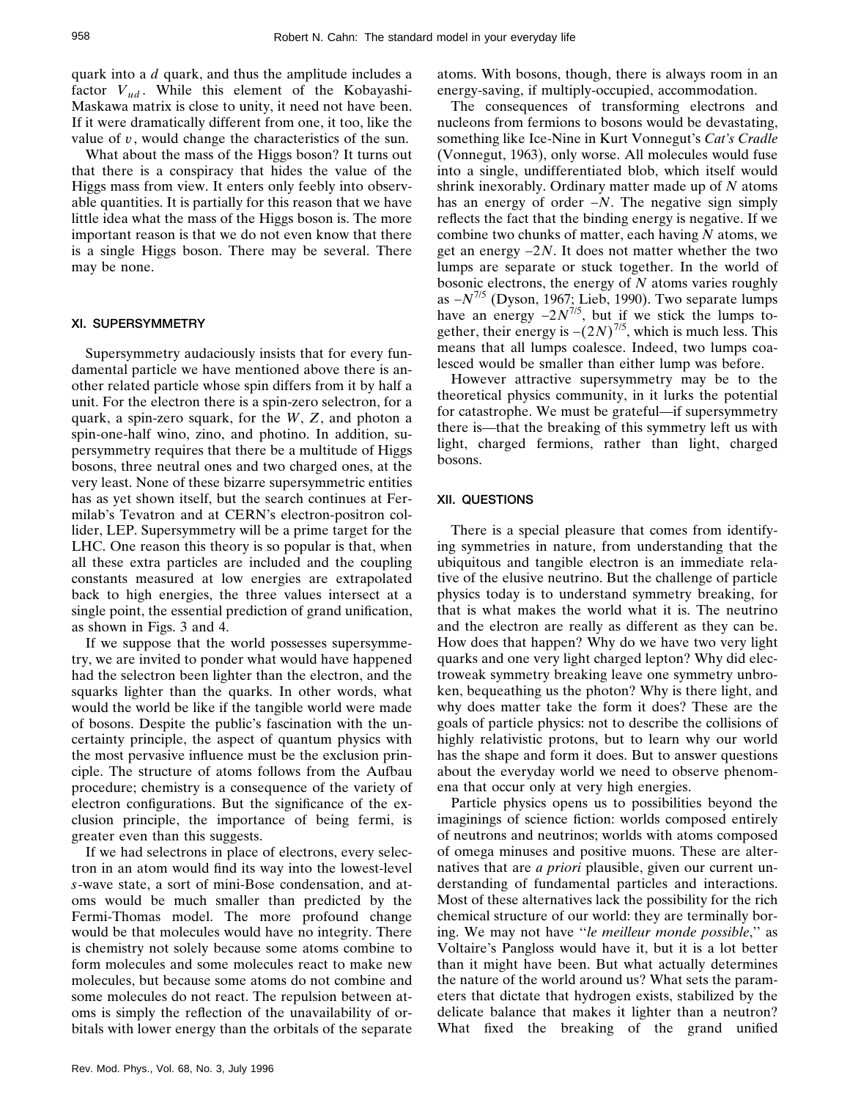quark into a *d* quark, and thus the amplitude includes a factor  $V_{ud}$ . While this element of the Kobayashi-Maskawa matrix is close to unity, it need not have been. If it were dramatically different from one, it too, like the value of *v*, would change the characteristics of the sun.

What about the mass of the Higgs boson? It turns out that there is a conspiracy that hides the value of the Higgs mass from view. It enters only feebly into observable quantities. It is partially for this reason that we have little idea what the mass of the Higgs boson is. The more important reason is that we do not even know that there is a single Higgs boson. There may be several. There may be none.

#### XI. SUPERSYMMETRY

Supersymmetry audaciously insists that for every fundamental particle we have mentioned above there is another related particle whose spin differs from it by half a unit. For the electron there is a spin-zero selectron, for a quark, a spin-zero squark, for the *W*, *Z*, and photon a spin-one-half wino, zino, and photino. In addition, supersymmetry requires that there be a multitude of Higgs bosons, three neutral ones and two charged ones, at the very least. None of these bizarre supersymmetric entities has as yet shown itself, but the search continues at Fermilab's Tevatron and at CERN's electron-positron collider, LEP. Supersymmetry will be a prime target for the LHC. One reason this theory is so popular is that, when all these extra particles are included and the coupling constants measured at low energies are extrapolated back to high energies, the three values intersect at a single point, the essential prediction of grand unification, as shown in Figs. 3 and 4.

If we suppose that the world possesses supersymmetry, we are invited to ponder what would have happened had the selectron been lighter than the electron, and the squarks lighter than the quarks. In other words, what would the world be like if the tangible world were made of bosons. Despite the public's fascination with the uncertainty principle, the aspect of quantum physics with the most pervasive influence must be the exclusion principle. The structure of atoms follows from the Aufbau procedure; chemistry is a consequence of the variety of electron configurations. But the significance of the exclusion principle, the importance of being fermi, is greater even than this suggests.

If we had selectrons in place of electrons, every selectron in an atom would find its way into the lowest-level *s*-wave state, a sort of mini-Bose condensation, and atoms would be much smaller than predicted by the Fermi-Thomas model. The more profound change would be that molecules would have no integrity. There is chemistry not solely because some atoms combine to form molecules and some molecules react to make new molecules, but because some atoms do not combine and some molecules do not react. The repulsion between atoms is simply the reflection of the unavailability of orbitals with lower energy than the orbitals of the separate atoms. With bosons, though, there is always room in an energy-saving, if multiply-occupied, accommodation.

The consequences of transforming electrons and nucleons from fermions to bosons would be devastating, something like Ice-Nine in Kurt Vonnegut's *Cat's Cradle* (Vonnegut, 1963), only worse. All molecules would fuse into a single, undifferentiated blob, which itself would shrink inexorably. Ordinary matter made up of *N* atoms has an energy of order −*N*. The negative sign simply reflects the fact that the binding energy is negative. If we combine two chunks of matter, each having *N* atoms, we get an energy −2*N*. It does not matter whether the two lumps are separate or stuck together. In the world of bosonic electrons, the energy of *N* atoms varies roughly as −*N*7/5 (Dyson, 1967; Lieb, 1990). Two separate lumps have an energy  $-2N^{7/5}$ , but if we stick the lumps together, their energy is  $-(2N)^{7/5}$ , which is much less. This means that all lumps coalesce. Indeed, two lumps coalesced would be smaller than either lump was before.

However attractive supersymmetry may be to the theoretical physics community, in it lurks the potential for catastrophe. We must be grateful—if supersymmetry there is—that the breaking of this symmetry left us with light, charged fermions, rather than light, charged bosons.

#### XII. QUESTIONS

There is a special pleasure that comes from identifying symmetries in nature, from understanding that the ubiquitous and tangible electron is an immediate relative of the elusive neutrino. But the challenge of particle physics today is to understand symmetry breaking, for that is what makes the world what it is. The neutrino and the electron are really as different as they can be. How does that happen? Why do we have two very light quarks and one very light charged lepton? Why did electroweak symmetry breaking leave one symmetry unbroken, bequeathing us the photon? Why is there light, and why does matter take the form it does? These are the goals of particle physics: not to describe the collisions of highly relativistic protons, but to learn why our world has the shape and form it does. But to answer questions about the everyday world we need to observe phenomena that occur only at very high energies.

Particle physics opens us to possibilities beyond the imaginings of science fiction: worlds composed entirely of neutrons and neutrinos; worlds with atoms composed of omega minuses and positive muons. These are alternatives that are *a priori* plausible, given our current understanding of fundamental particles and interactions. Most of these alternatives lack the possibility for the rich chemical structure of our world: they are terminally boring. We may not have ''*le meilleur monde possible*,'' as Voltaire's Pangloss would have it, but it is a lot better than it might have been. But what actually determines the nature of the world around us? What sets the parameters that dictate that hydrogen exists, stabilized by the delicate balance that makes it lighter than a neutron? What fixed the breaking of the grand unified